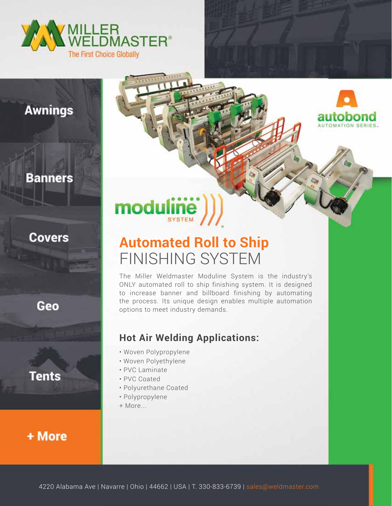



# **Awnings**

#### **Banners**

#### **Covers**

Geo

**Tents** 

### + More

# modu **SYSTEM**

# **Automated Roll to Ship** FINISHING SYSTEM

The Miller Weldmaster Moduline System is the industry's ONLY automated roll to ship finishing system. It is designed to increase banner and billboard finishing by automating the process. Its unique design enables multiple automation options to meet industry demands.

#### **Hot Air Welding Applications:**

- Woven Polypropylene
- Woven Polyethylene
- PVC Laminate
- PVC Coated
- Polyurethane Coated
- Polypropylene
- + More...

4220 Alabama Ave | Navarre | Ohio | 44662 | USA | T. 330-833-6739 | sales@weldmaster.com